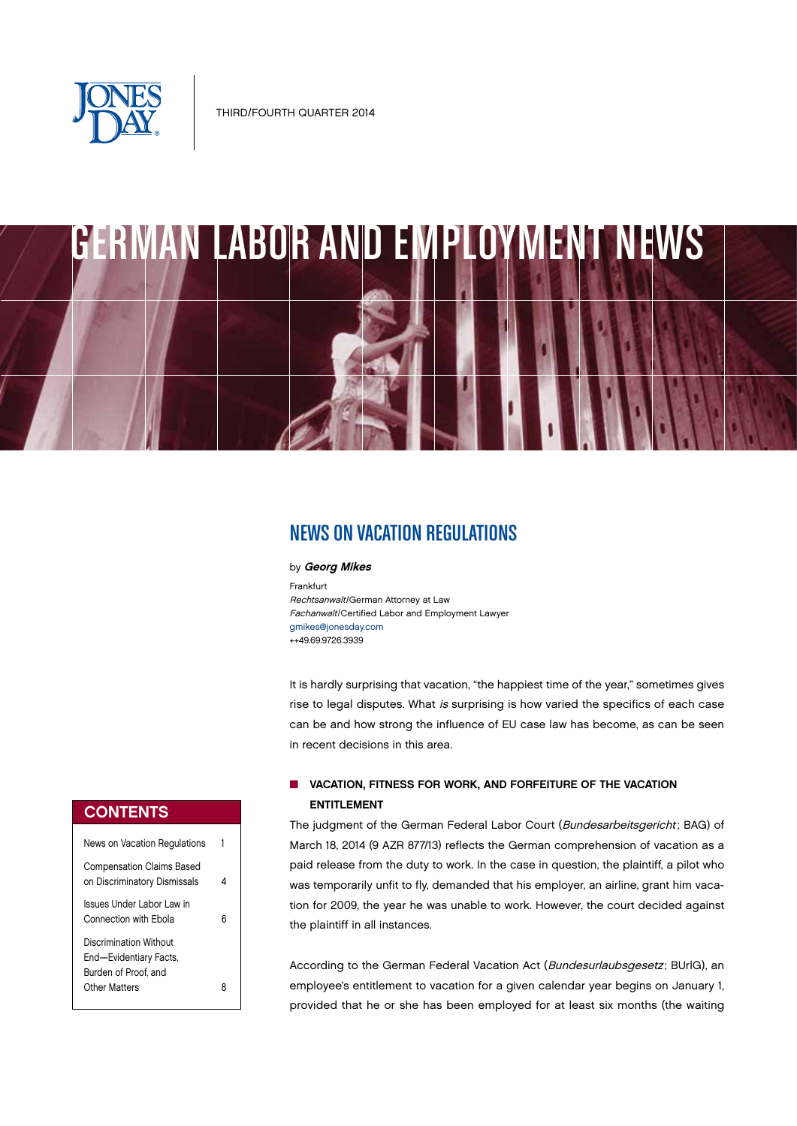

# GERMAN LABOR AND EMPLOYMENT NEWS

# NEWS ON VACATION REGULATIONS

#### by Georg Mikes

Frankfurt Rechtsanwalt/German Attorney at Law Fachanwalt/Certified Labor and Employment Lawyer [gmikes@jonesday.com](mailto:gmikes@jonesday.com) ++49.69.9726.3939

It is hardly surprising that vacation, "the happiest time of the year," sometimes gives rise to legal disputes. What is surprising is how varied the specifics of each case can be and how strong the influence of EU case law has become, as can be seen in recent decisions in this area.

## **N VACATION, FITNESS FOR WORK, AND FORFEITURE OF THE VACATION** ENTITLEMENT

The judgment of the German Federal Labor Court (Bundesarbeitsgericht; BAG) of March 18, 2014 (9 AZR 877/13) reflects the German comprehension of vacation as a paid release from the duty to work. In the case in question, the plaintiff, a pilot who was temporarily unfit to fly, demanded that his employer, an airline, grant him vacation for 2009, the year he was unable to work. However, the court decided against the plaintiff in all instances.

According to the German Federal Vacation Act (Bundesurlaubsgesetz; BUrlG), an employee's entitlement to vacation for a given calendar year begins on January 1, provided that he or she has been employed for at least six months (the waiting

## **CONTENTS**

| News on Vacation Regulations                                                              | 1  |
|-------------------------------------------------------------------------------------------|----|
| <b>Compensation Claims Based</b><br>on Discriminatory Dismissals                          |    |
| Issues Under Labor Law in<br>Connection with Fhola                                        | ่ค |
| Discrimination Without<br>End-Evidentiary Facts,<br>Burden of Proof, and<br>Other Matters |    |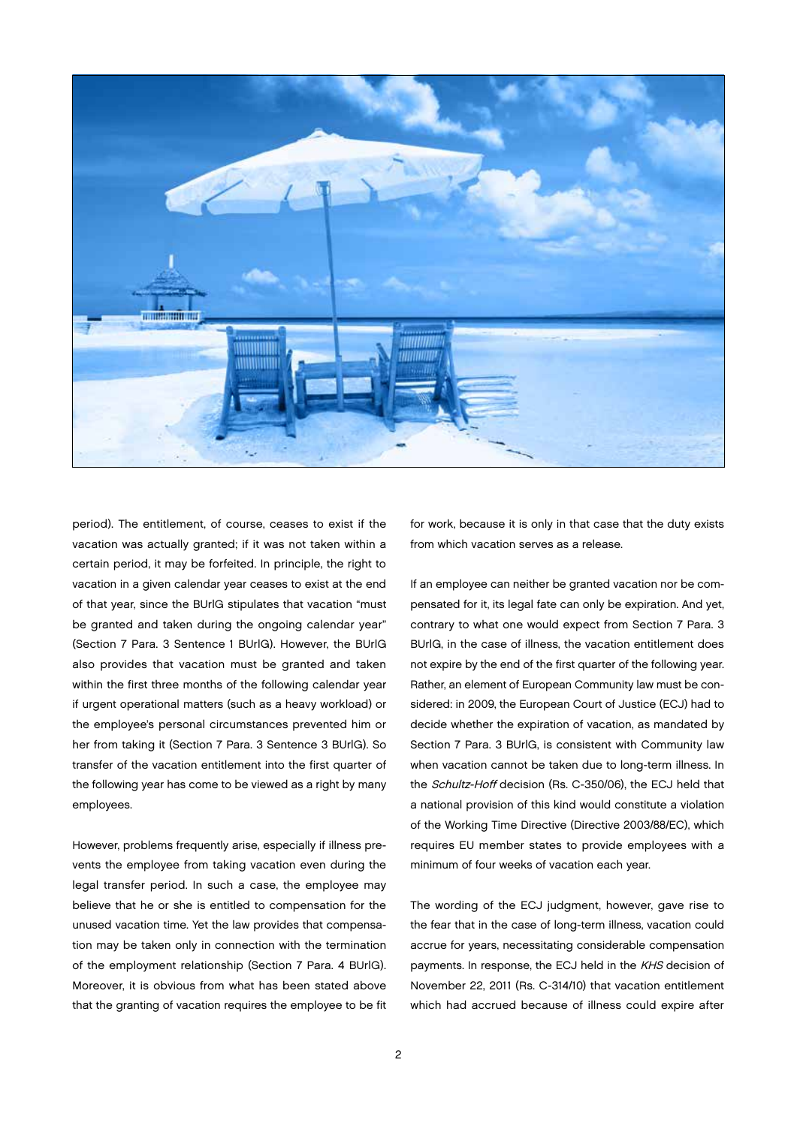

period). The entitlement, of course, ceases to exist if the vacation was actually granted; if it was not taken within a certain period, it may be forfeited. In principle, the right to vacation in a given calendar year ceases to exist at the end of that year, since the BUrlG stipulates that vacation "must be granted and taken during the ongoing calendar year" (Section 7 Para. 3 Sentence 1 BUrlG). However, the BUrlG also provides that vacation must be granted and taken within the first three months of the following calendar year if urgent operational matters (such as a heavy workload) or the employee's personal circumstances prevented him or her from taking it (Section 7 Para. 3 Sentence 3 BUrlG). So transfer of the vacation entitlement into the first quarter of the following year has come to be viewed as a right by many employees.

However, problems frequently arise, especially if illness prevents the employee from taking vacation even during the legal transfer period. In such a case, the employee may believe that he or she is entitled to compensation for the unused vacation time. Yet the law provides that compensation may be taken only in connection with the termination of the employment relationship (Section 7 Para. 4 BUrlG). Moreover, it is obvious from what has been stated above that the granting of vacation requires the employee to be fit

for work, because it is only in that case that the duty exists from which vacation serves as a release.

If an employee can neither be granted vacation nor be compensated for it, its legal fate can only be expiration. And yet, contrary to what one would expect from Section 7 Para. 3 BUrlG, in the case of illness, the vacation entitlement does not expire by the end of the first quarter of the following year. Rather, an element of European Community law must be considered: in 2009, the European Court of Justice (ECJ) had to decide whether the expiration of vacation, as mandated by Section 7 Para. 3 BUrlG, is consistent with Community law when vacation cannot be taken due to long-term illness. In the Schultz-Hoff decision (Rs. C-350/06), the ECJ held that a national provision of this kind would constitute a violation of the Working Time Directive (Directive 2003/88/EC), which requires EU member states to provide employees with a minimum of four weeks of vacation each year.

The wording of the ECJ judgment, however, gave rise to the fear that in the case of long-term illness, vacation could accrue for years, necessitating considerable compensation payments. In response, the ECJ held in the KHS decision of November 22, 2011 (Rs. C-314/10) that vacation entitlement which had accrued because of illness could expire after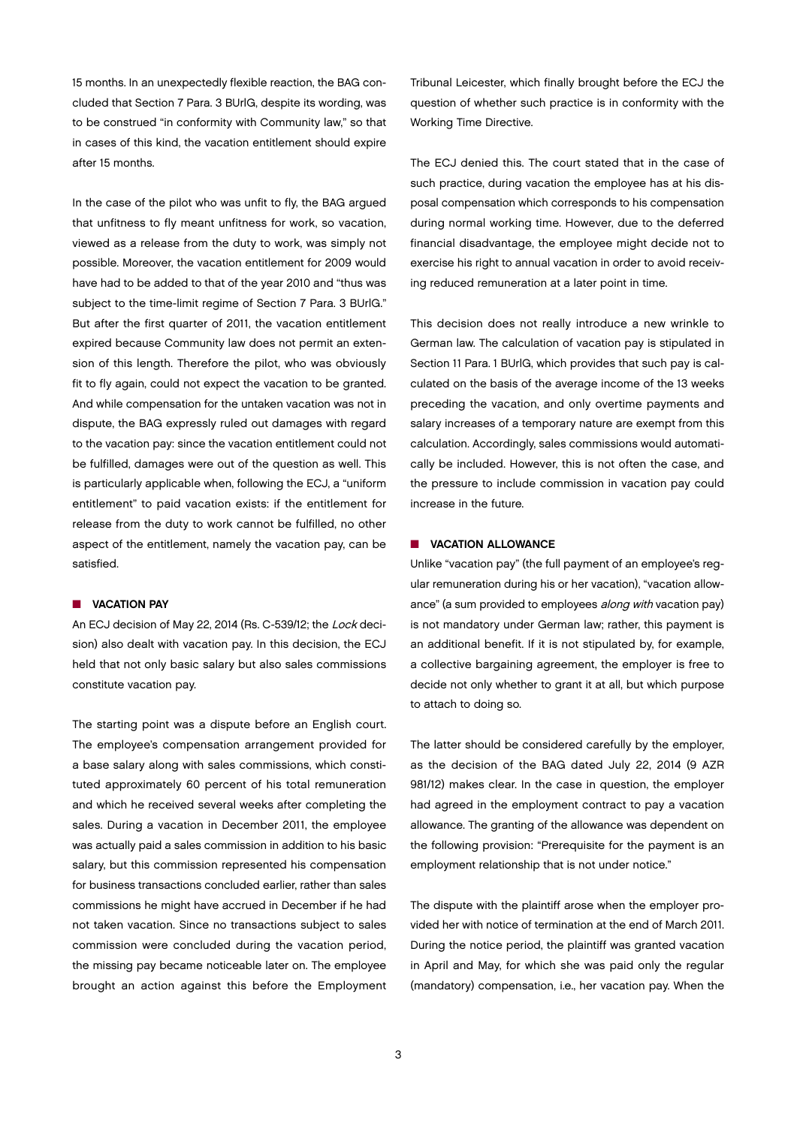15 months. In an unexpectedly flexible reaction, the BAG concluded that Section 7 Para. 3 BUrlG, despite its wording, was to be construed "in conformity with Community law," so that in cases of this kind, the vacation entitlement should expire after 15 months.

In the case of the pilot who was unfit to fly, the BAG argued that unfitness to fly meant unfitness for work, so vacation, viewed as a release from the duty to work, was simply not possible. Moreover, the vacation entitlement for 2009 would have had to be added to that of the year 2010 and "thus was subject to the time-limit regime of Section 7 Para. 3 BUrlG." But after the first quarter of 2011, the vacation entitlement expired because Community law does not permit an extension of this length. Therefore the pilot, who was obviously fit to fly again, could not expect the vacation to be granted. And while compensation for the untaken vacation was not in dispute, the BAG expressly ruled out damages with regard to the vacation pay: since the vacation entitlement could not be fulfilled, damages were out of the question as well. This is particularly applicable when, following the ECJ, a "uniform entitlement" to paid vacation exists: if the entitlement for release from the duty to work cannot be fulfilled, no other aspect of the entitlement, namely the vacation pay, can be satisfied.

#### **N** VACATION PAY

An ECJ decision of May 22, 2014 (Rs. C-539/12; the Lock decision) also dealt with vacation pay. In this decision, the ECJ held that not only basic salary but also sales commissions constitute vacation pay.

The starting point was a dispute before an English court. The employee's compensation arrangement provided for a base salary along with sales commissions, which constituted approximately 60 percent of his total remuneration and which he received several weeks after completing the sales. During a vacation in December 2011, the employee was actually paid a sales commission in addition to his basic salary, but this commission represented his compensation for business transactions concluded earlier, rather than sales commissions he might have accrued in December if he had not taken vacation. Since no transactions subject to sales commission were concluded during the vacation period, the missing pay became noticeable later on. The employee brought an action against this before the Employment

Tribunal Leicester, which finally brought before the ECJ the question of whether such practice is in conformity with the Working Time Directive.

The ECJ denied this. The court stated that in the case of such practice, during vacation the employee has at his disposal compensation which corresponds to his compensation during normal working time. However, due to the deferred financial disadvantage, the employee might decide not to exercise his right to annual vacation in order to avoid receiving reduced remuneration at a later point in time.

This decision does not really introduce a new wrinkle to German law. The calculation of vacation pay is stipulated in Section 11 Para. 1 BUrlG, which provides that such pay is calculated on the basis of the average income of the 13 weeks preceding the vacation, and only overtime payments and salary increases of a temporary nature are exempt from this calculation. Accordingly, sales commissions would automatically be included. However, this is not often the case, and the pressure to include commission in vacation pay could increase in the future.

#### **N** VACATION ALLOWANCE

Unlike "vacation pay" (the full payment of an employee's regular remuneration during his or her vacation), "vacation allowance" (a sum provided to employees along with vacation pay) is not mandatory under German law; rather, this payment is an additional benefit. If it is not stipulated by, for example, a collective bargaining agreement, the employer is free to decide not only whether to grant it at all, but which purpose to attach to doing so.

The latter should be considered carefully by the employer, as the decision of the BAG dated July 22, 2014 (9 AZR 981/12) makes clear. In the case in question, the employer had agreed in the employment contract to pay a vacation allowance. The granting of the allowance was dependent on the following provision: "Prerequisite for the payment is an employment relationship that is not under notice."

The dispute with the plaintiff arose when the employer provided her with notice of termination at the end of March 2011. During the notice period, the plaintiff was granted vacation in April and May, for which she was paid only the regular (mandatory) compensation, i.e., her vacation pay. When the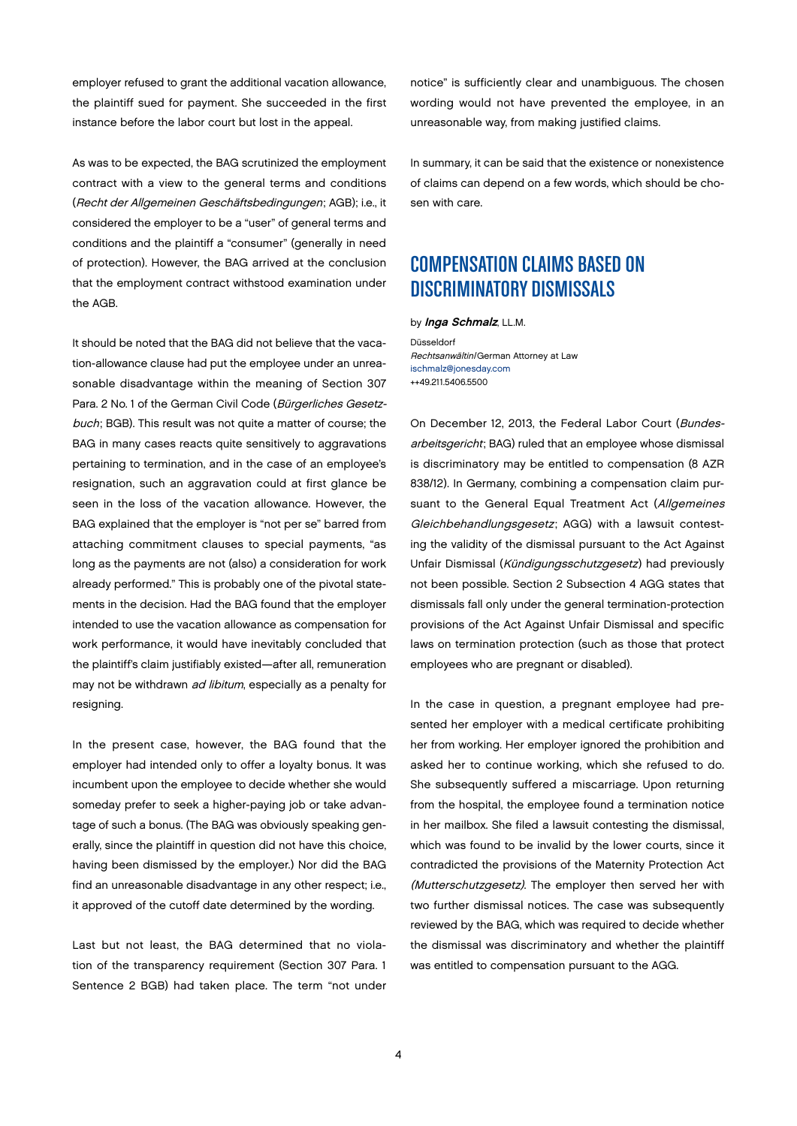<span id="page-3-0"></span>employer refused to grant the additional vacation allowance, the plaintiff sued for payment. She succeeded in the first instance before the labor court but lost in the appeal.

As was to be expected, the BAG scrutinized the employment contract with a view to the general terms and conditions (Recht der Allgemeinen Geschäftsbedingungen; AGB); i.e., it considered the employer to be a "user" of general terms and conditions and the plaintiff a "consumer" (generally in need of protection). However, the BAG arrived at the conclusion that the employment contract withstood examination under the AGB.

It should be noted that the BAG did not believe that the vacation-allowance clause had put the employee under an unreasonable disadvantage within the meaning of Section 307 Para. 2 No. 1 of the German Civil Code (Bürgerliches Gesetzbuch; BGB). This result was not quite a matter of course; the BAG in many cases reacts quite sensitively to aggravations pertaining to termination, and in the case of an employee's resignation, such an aggravation could at first glance be seen in the loss of the vacation allowance. However, the BAG explained that the employer is "not per se" barred from attaching commitment clauses to special payments, "as long as the payments are not (also) a consideration for work already performed." This is probably one of the pivotal statements in the decision. Had the BAG found that the employer intended to use the vacation allowance as compensation for work performance, it would have inevitably concluded that the plaintiff's claim justifiably existed—after all, remuneration may not be withdrawn ad libitum, especially as a penalty for resigning.

In the present case, however, the BAG found that the employer had intended only to offer a loyalty bonus. It was incumbent upon the employee to decide whether she would someday prefer to seek a higher-paying job or take advantage of such a bonus. (The BAG was obviously speaking generally, since the plaintiff in question did not have this choice, having been dismissed by the employer.) Nor did the BAG find an unreasonable disadvantage in any other respect; i.e., it approved of the cutoff date determined by the wording.

Last but not least, the BAG determined that no violation of the transparency requirement (Section 307 Para. 1 Sentence 2 BGB) had taken place. The term "not under notice" is sufficiently clear and unambiguous. The chosen wording would not have prevented the employee, in an unreasonable way, from making justified claims.

In summary, it can be said that the existence or nonexistence of claims can depend on a few words, which should be chosen with care.

# COMPENSATION CLAIMS BASED ON DISCRIMINATORY DISMISSALS

by *Inga Schmalz*, LL.M.

Düsseldorf Rechtsanwältin/German Attorney at Law [ischmalz@jonesday.com](mailto:ischmalz@jonesday.com) ++49.211.5406.5500

On December 12, 2013, the Federal Labor Court (Bundesarbeitsgericht; BAG) ruled that an employee whose dismissal is discriminatory may be entitled to compensation (8 AZR 838/12). In Germany, combining a compensation claim pursuant to the General Equal Treatment Act (Allgemeines Gleichbehandlungsgesetz; AGG) with a lawsuit contesting the validity of the dismissal pursuant to the Act Against Unfair Dismissal (Kündigungsschutzgesetz) had previously not been possible. Section 2 Subsection 4 AGG states that dismissals fall only under the general termination-protection provisions of the Act Against Unfair Dismissal and specific laws on termination protection (such as those that protect employees who are pregnant or disabled).

In the case in question, a pregnant employee had presented her employer with a medical certificate prohibiting her from working. Her employer ignored the prohibition and asked her to continue working, which she refused to do. She subsequently suffered a miscarriage. Upon returning from the hospital, the employee found a termination notice in her mailbox. She filed a lawsuit contesting the dismissal, which was found to be invalid by the lower courts, since it contradicted the provisions of the Maternity Protection Act (Mutterschutzgesetz). The employer then served her with two further dismissal notices. The case was subsequently reviewed by the BAG, which was required to decide whether the dismissal was discriminatory and whether the plaintiff was entitled to compensation pursuant to the AGG.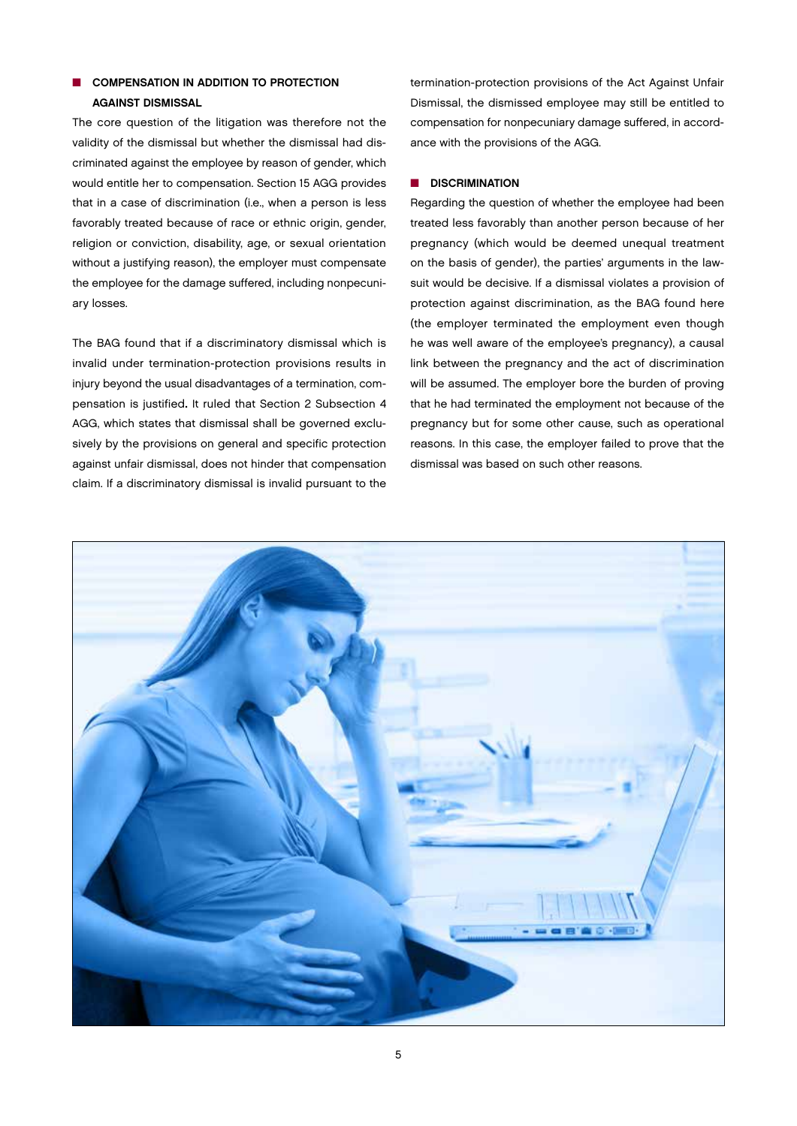## **n** COMPENSATION IN ADDITION TO PROTECTION AGAINST DISMISSAL

The core question of the litigation was therefore not the validity of the dismissal but whether the dismissal had discriminated against the employee by reason of gender, which would entitle her to compensation. Section 15 AGG provides that in a case of discrimination (i.e., when a person is less favorably treated because of race or ethnic origin, gender, religion or conviction, disability, age, or sexual orientation without a justifying reason), the employer must compensate the employee for the damage suffered, including nonpecuniary losses.

The BAG found that if a discriminatory dismissal which is invalid under termination-protection provisions results in injury beyond the usual disadvantages of a termination, compensation is justified. It ruled that Section 2 Subsection 4 AGG, which states that dismissal shall be governed exclusively by the provisions on general and specific protection against unfair dismissal, does not hinder that compensation claim. If a discriminatory dismissal is invalid pursuant to the

termination-protection provisions of the Act Against Unfair Dismissal, the dismissed employee may still be entitled to compensation for nonpecuniary damage suffered, in accordance with the provisions of the AGG.

#### **N** DISCRIMINATION

Regarding the question of whether the employee had been treated less favorably than another person because of her pregnancy (which would be deemed unequal treatment on the basis of gender), the parties' arguments in the lawsuit would be decisive. If a dismissal violates a provision of protection against discrimination, as the BAG found here (the employer terminated the employment even though he was well aware of the employee's pregnancy), a causal link between the pregnancy and the act of discrimination will be assumed. The employer bore the burden of proving that he had terminated the employment not because of the pregnancy but for some other cause, such as operational reasons. In this case, the employer failed to prove that the dismissal was based on such other reasons.

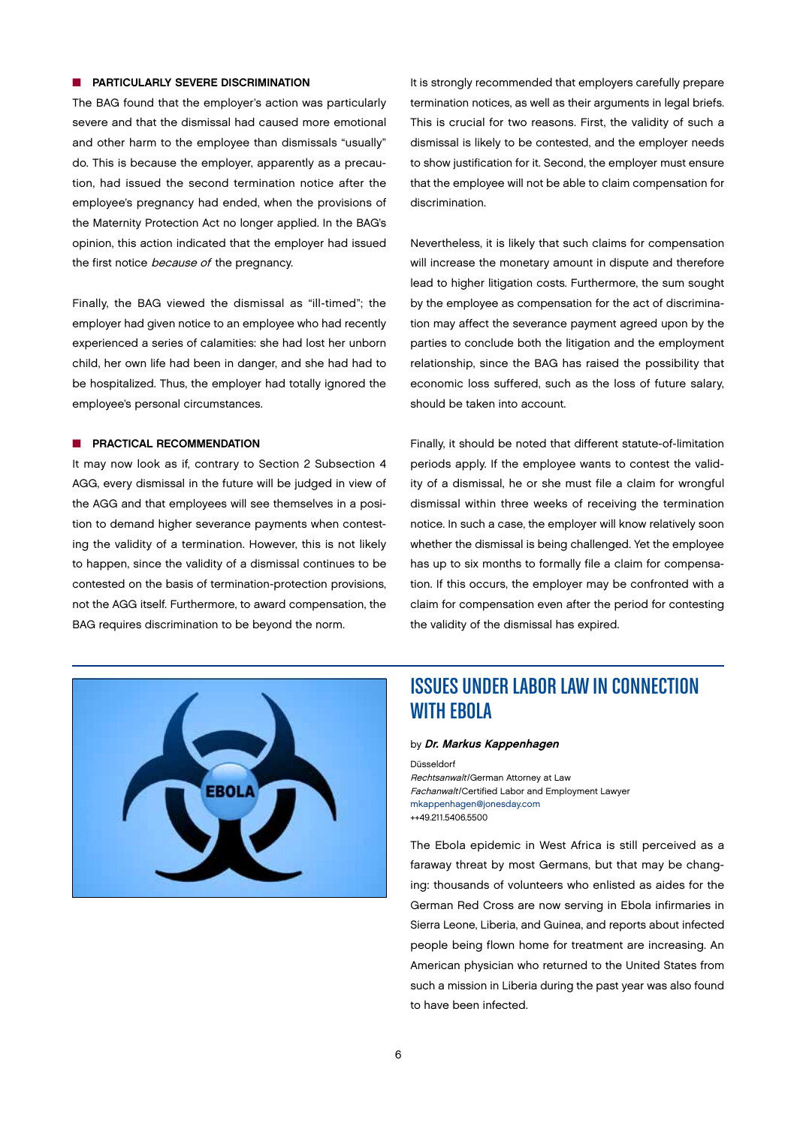#### <span id="page-5-0"></span>**n** PARTICULARLY SEVERE DISCRIMINATION

The BAG found that the employer's action was particularly severe and that the dismissal had caused more emotional and other harm to the employee than dismissals "usually" do. This is because the employer, apparently as a precaution, had issued the second termination notice after the employee's pregnancy had ended, when the provisions of the Maternity Protection Act no longer applied. In the BAG's opinion, this action indicated that the employer had issued the first notice *because of* the pregnancy.

Finally, the BAG viewed the dismissal as "ill-timed"; the employer had given notice to an employee who had recently experienced a series of calamities: she had lost her unborn child, her own life had been in danger, and she had had to be hospitalized. Thus, the employer had totally ignored the employee's personal circumstances.

#### **N** PRACTICAL RECOMMENDATION

It may now look as if, contrary to Section 2 Subsection 4 AGG, every dismissal in the future will be judged in view of the AGG and that employees will see themselves in a position to demand higher severance payments when contesting the validity of a termination. However, this is not likely to happen, since the validity of a dismissal continues to be contested on the basis of termination-protection provisions, not the AGG itself. Furthermore, to award compensation, the BAG requires discrimination to be beyond the norm.

It is strongly recommended that employers carefully prepare termination notices, as well as their arguments in legal briefs. This is crucial for two reasons. First, the validity of such a dismissal is likely to be contested, and the employer needs to show justification for it. Second, the employer must ensure that the employee will not be able to claim compensation for discrimination.

Nevertheless, it is likely that such claims for compensation will increase the monetary amount in dispute and therefore lead to higher litigation costs. Furthermore, the sum sought by the employee as compensation for the act of discrimination may affect the severance payment agreed upon by the parties to conclude both the litigation and the employment relationship, since the BAG has raised the possibility that economic loss suffered, such as the loss of future salary, should be taken into account.

Finally, it should be noted that different statute-of-limitation periods apply. If the employee wants to contest the validity of a dismissal, he or she must file a claim for wrongful dismissal within three weeks of receiving the termination notice. In such a case, the employer will know relatively soon whether the dismissal is being challenged. Yet the employee has up to six months to formally file a claim for compensation. If this occurs, the employer may be confronted with a claim for compensation even after the period for contesting the validity of the dismissal has expired.



# ISSUES UNDER LABOR LAW IN CONNECTION WITH EBOLA

#### by Dr. Markus Kappenhagen

Düsseldorf Rechtsanwalt/German Attorney at Law Fachanwalt/Certified Labor and Employment Lawyer [mkappenhagen@jonesday.com](mailto:mkappenhagen@jonesday.com) ++49.211.5406.5500

The Ebola epidemic in West Africa is still perceived as a faraway threat by most Germans, but that may be changing: thousands of volunteers who enlisted as aides for the German Red Cross are now serving in Ebola infirmaries in Sierra Leone, Liberia, and Guinea, and reports about infected people being flown home for treatment are increasing. An American physician who returned to the United States from such a mission in Liberia during the past year was also found to have been infected.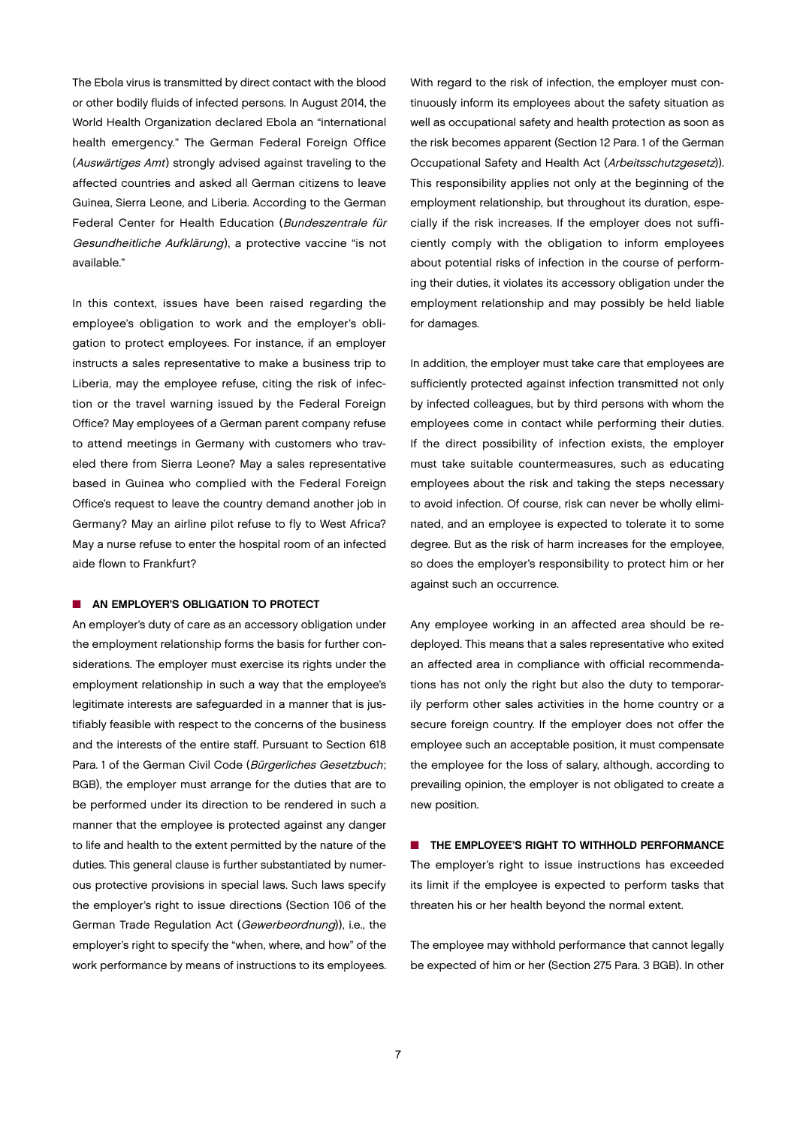The Ebola virus is transmitted by direct contact with the blood or other bodily fluids of infected persons. In August 2014, the World Health Organization declared Ebola an "international health emergency." The German Federal Foreign Office (Auswärtiges Amt) strongly advised against traveling to the affected countries and asked all German citizens to leave Guinea, Sierra Leone, and Liberia. According to the German Federal Center for Health Education (Bundeszentrale für Gesundheitliche Aufklärung), a protective vaccine "is not available."

In this context, issues have been raised regarding the employee's obligation to work and the employer's obligation to protect employees. For instance, if an employer instructs a sales representative to make a business trip to Liberia, may the employee refuse, citing the risk of infection or the travel warning issued by the Federal Foreign Office? May employees of a German parent company refuse to attend meetings in Germany with customers who traveled there from Sierra Leone? May a sales representative based in Guinea who complied with the Federal Foreign Office's request to leave the country demand another job in Germany? May an airline pilot refuse to fly to West Africa? May a nurse refuse to enter the hospital room of an infected aide flown to Frankfurt?

#### **N AN EMPLOYER'S OBLIGATION TO PROTECT**

An employer's duty of care as an accessory obligation under the employment relationship forms the basis for further considerations. The employer must exercise its rights under the employment relationship in such a way that the employee's legitimate interests are safeguarded in a manner that is justifiably feasible with respect to the concerns of the business and the interests of the entire staff. Pursuant to Section 618 Para. 1 of the German Civil Code (Bürgerliches Gesetzbuch; BGB), the employer must arrange for the duties that are to be performed under its direction to be rendered in such a manner that the employee is protected against any danger to life and health to the extent permitted by the nature of the duties. This general clause is further substantiated by numerous protective provisions in special laws. Such laws specify the employer's right to issue directions (Section 106 of the German Trade Regulation Act (Gewerbeordnung)), i.e., the employer's right to specify the "when, where, and how" of the work performance by means of instructions to its employees. With regard to the risk of infection, the employer must continuously inform its employees about the safety situation as well as occupational safety and health protection as soon as the risk becomes apparent (Section 12 Para. 1 of the German Occupational Safety and Health Act (Arbeitsschutzgesetz)). This responsibility applies not only at the beginning of the employment relationship, but throughout its duration, especially if the risk increases. If the employer does not sufficiently comply with the obligation to inform employees about potential risks of infection in the course of performing their duties, it violates its accessory obligation under the employment relationship and may possibly be held liable for damages.

In addition, the employer must take care that employees are sufficiently protected against infection transmitted not only by infected colleagues, but by third persons with whom the employees come in contact while performing their duties. If the direct possibility of infection exists, the employer must take suitable countermeasures, such as educating employees about the risk and taking the steps necessary to avoid infection. Of course, risk can never be wholly eliminated, and an employee is expected to tolerate it to some degree. But as the risk of harm increases for the employee, so does the employer's responsibility to protect him or her against such an occurrence.

Any employee working in an affected area should be redeployed. This means that a sales representative who exited an affected area in compliance with official recommendations has not only the right but also the duty to temporarily perform other sales activities in the home country or a secure foreign country. If the employer does not offer the employee such an acceptable position, it must compensate the employee for the loss of salary, although, according to prevailing opinion, the employer is not obligated to create a new position.

**n** THE EMPLOYEE'S RIGHT TO WITHHOLD PERFORMANCE The employer's right to issue instructions has exceeded its limit if the employee is expected to perform tasks that threaten his or her health beyond the normal extent.

The employee may withhold performance that cannot legally be expected of him or her (Section 275 Para. 3 BGB). In other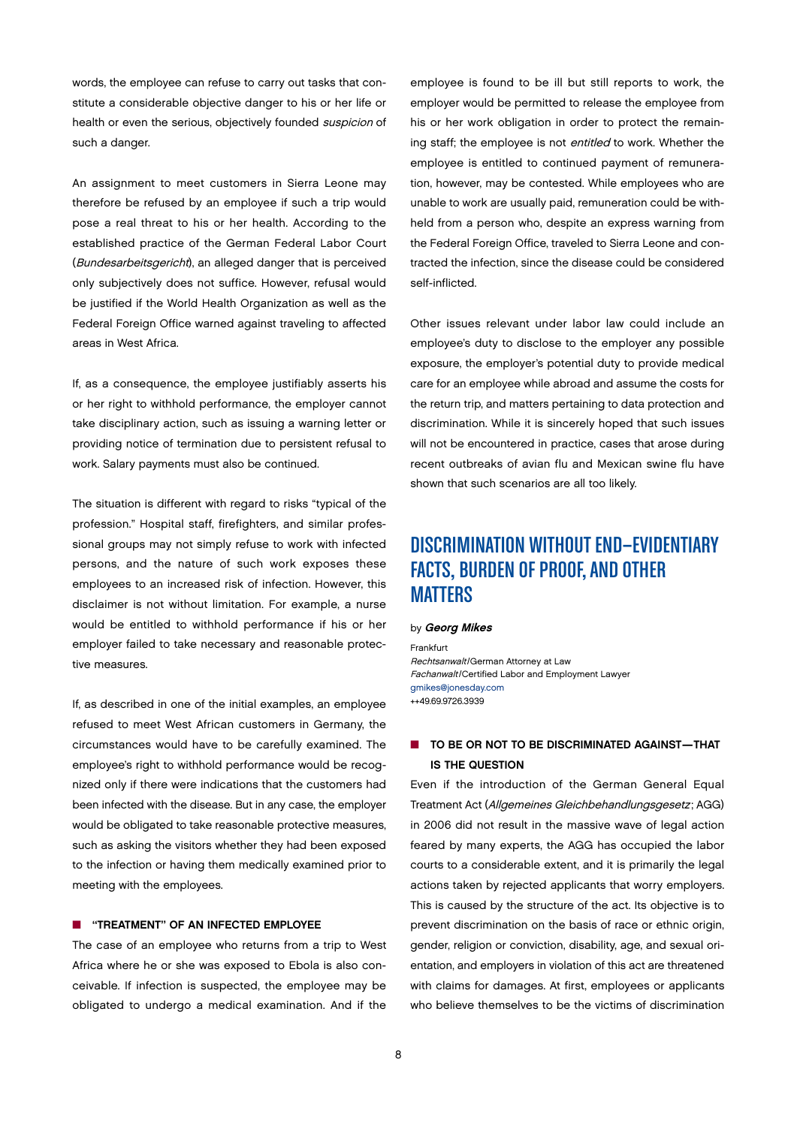<span id="page-7-0"></span>words, the employee can refuse to carry out tasks that constitute a considerable objective danger to his or her life or health or even the serious, objectively founded suspicion of such a danger.

An assignment to meet customers in Sierra Leone may therefore be refused by an employee if such a trip would pose a real threat to his or her health. According to the established practice of the German Federal Labor Court (Bundesarbeitsgericht), an alleged danger that is perceived only subjectively does not suffice. However, refusal would be justified if the World Health Organization as well as the Federal Foreign Office warned against traveling to affected areas in West Africa.

If, as a consequence, the employee justifiably asserts his or her right to withhold performance, the employer cannot take disciplinary action, such as issuing a warning letter or providing notice of termination due to persistent refusal to work. Salary payments must also be continued.

The situation is different with regard to risks "typical of the profession." Hospital staff, firefighters, and similar professional groups may not simply refuse to work with infected persons, and the nature of such work exposes these employees to an increased risk of infection. However, this disclaimer is not without limitation. For example, a nurse would be entitled to withhold performance if his or her employer failed to take necessary and reasonable protective measures.

If, as described in one of the initial examples, an employee refused to meet West African customers in Germany, the circumstances would have to be carefully examined. The employee's right to withhold performance would be recognized only if there were indications that the customers had been infected with the disease. But in any case, the employer would be obligated to take reasonable protective measures, such as asking the visitors whether they had been exposed to the infection or having them medically examined prior to meeting with the employees.

#### **n** "TREATMENT" OF AN INFECTED EMPLOYEE

The case of an employee who returns from a trip to West Africa where he or she was exposed to Ebola is also conceivable. If infection is suspected, the employee may be obligated to undergo a medical examination. And if the

employee is found to be ill but still reports to work, the employer would be permitted to release the employee from his or her work obligation in order to protect the remaining staff; the employee is not entitled to work. Whether the employee is entitled to continued payment of remuneration, however, may be contested. While employees who are unable to work are usually paid, remuneration could be withheld from a person who, despite an express warning from the Federal Foreign Office, traveled to Sierra Leone and contracted the infection, since the disease could be considered self-inflicted.

Other issues relevant under labor law could include an employee's duty to disclose to the employer any possible exposure, the employer's potential duty to provide medical care for an employee while abroad and assume the costs for the return trip, and matters pertaining to data protection and discrimination. While it is sincerely hoped that such issues will not be encountered in practice, cases that arose during recent outbreaks of avian flu and Mexican swine flu have shown that such scenarios are all too likely.

# DISCRIMINATION WITHOUT END—EVIDENTIARY FACTS, BURDEN OF PROOF, AND OTHER MATTERS

#### by Georg Mikes

Frankfurt Rechtsanwalt/German Attorney at Law Fachanwalt/Certified Labor and Employment Lawyer [gmikes@jonesday.com](mailto:gmikes@jonesday.com) ++49.69.9726.3939

## **n** TO BE OR NOT TO BE DISCRIMINATED AGAINST—THAT IS THE QUESTION

Even if the introduction of the German General Equal Treatment Act (Allgemeines Gleichbehandlungsgesetz; AGG) in 2006 did not result in the massive wave of legal action feared by many experts, the AGG has occupied the labor courts to a considerable extent, and it is primarily the legal actions taken by rejected applicants that worry employers. This is caused by the structure of the act. Its objective is to prevent discrimination on the basis of race or ethnic origin, gender, religion or conviction, disability, age, and sexual orientation, and employers in violation of this act are threatened with claims for damages. At first, employees or applicants who believe themselves to be the victims of discrimination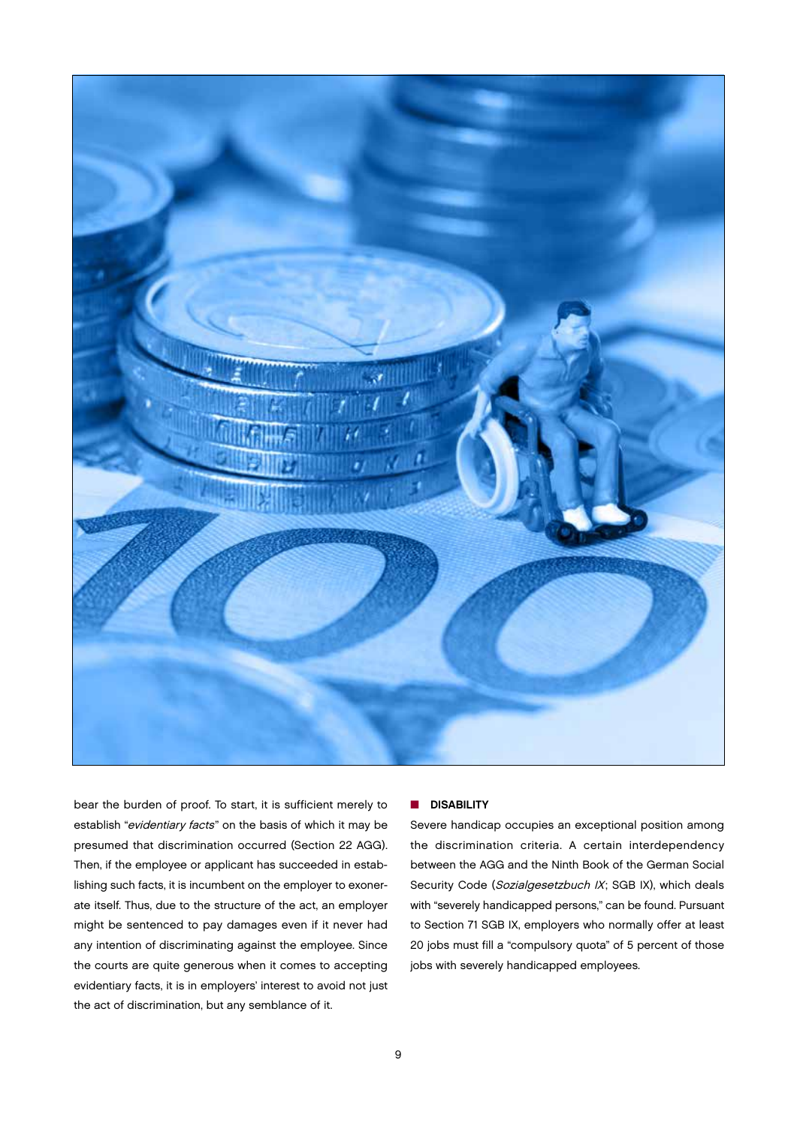

bear the burden of proof. To start, it is sufficient merely to establish "evidentiary facts" on the basis of which it may be presumed that discrimination occurred (Section 22 AGG). Then, if the employee or applicant has succeeded in establishing such facts, it is incumbent on the employer to exonerate itself. Thus, due to the structure of the act, an employer might be sentenced to pay damages even if it never had any intention of discriminating against the employee. Since the courts are quite generous when it comes to accepting evidentiary facts, it is in employers' interest to avoid not just the act of discrimination, but any semblance of it.

## **n** DISABILITY

Severe handicap occupies an exceptional position among the discrimination criteria. A certain interdependency between the AGG and the Ninth Book of the German Social Security Code (Sozialgesetzbuch IX; SGB IX), which deals with "severely handicapped persons," can be found. Pursuant to Section 71 SGB IX, employers who normally offer at least 20 jobs must fill a "compulsory quota" of 5 percent of those jobs with severely handicapped employees.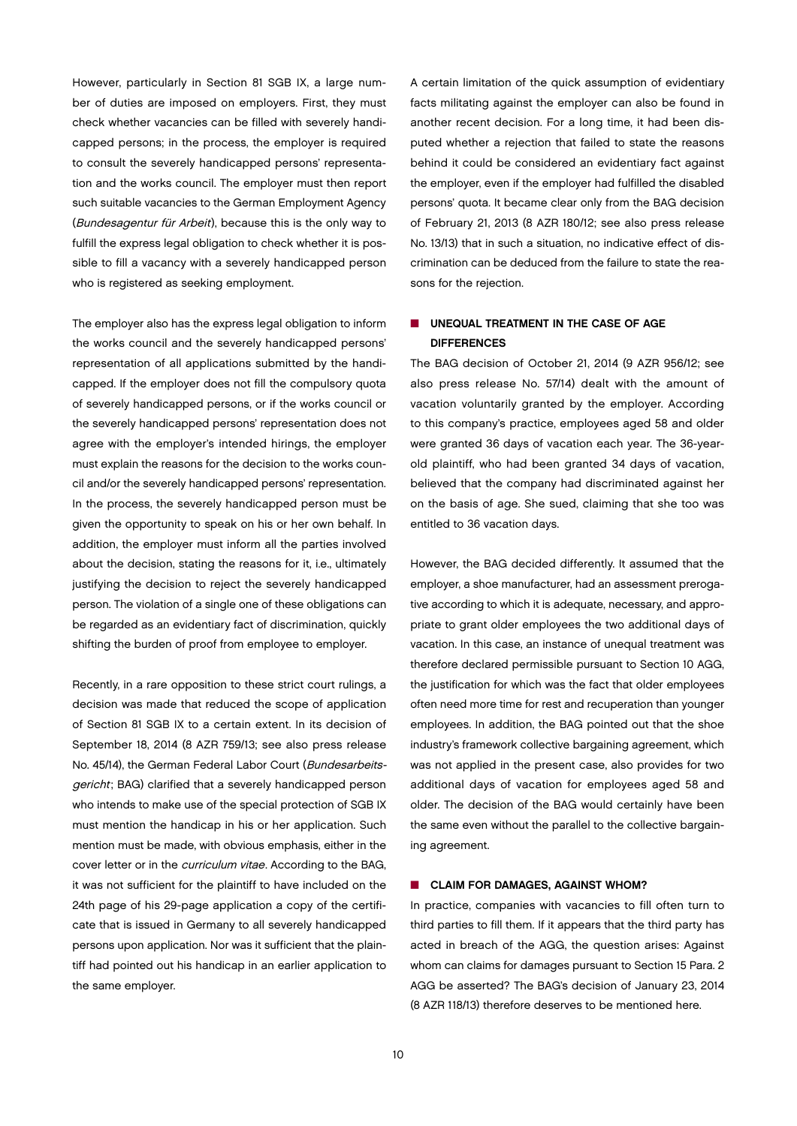However, particularly in Section 81 SGB IX, a large number of duties are imposed on employers. First, they must check whether vacancies can be filled with severely handicapped persons; in the process, the employer is required to consult the severely handicapped persons' representation and the works council. The employer must then report such suitable vacancies to the German Employment Agency (Bundesagentur für Arbeit), because this is the only way to fulfill the express legal obligation to check whether it is possible to fill a vacancy with a severely handicapped person who is registered as seeking employment.

The employer also has the express legal obligation to inform the works council and the severely handicapped persons' representation of all applications submitted by the handicapped. If the employer does not fill the compulsory quota of severely handicapped persons, or if the works council or the severely handicapped persons' representation does not agree with the employer's intended hirings, the employer must explain the reasons for the decision to the works council and/or the severely handicapped persons' representation. In the process, the severely handicapped person must be given the opportunity to speak on his or her own behalf. In addition, the employer must inform all the parties involved about the decision, stating the reasons for it, i.e., ultimately justifying the decision to reject the severely handicapped person. The violation of a single one of these obligations can be regarded as an evidentiary fact of discrimination, quickly shifting the burden of proof from employee to employer.

Recently, in a rare opposition to these strict court rulings, a decision was made that reduced the scope of application of Section 81 SGB IX to a certain extent. In its decision of September 18, 2014 (8 AZR 759/13; see also press release No. 45/14), the German Federal Labor Court (Bundesarbeitsgericht; BAG) clarified that a severely handicapped person who intends to make use of the special protection of SGB IX must mention the handicap in his or her application. Such mention must be made, with obvious emphasis, either in the cover letter or in the curriculum vitae. According to the BAG, it was not sufficient for the plaintiff to have included on the 24th page of his 29-page application a copy of the certificate that is issued in Germany to all severely handicapped persons upon application. Nor was it sufficient that the plaintiff had pointed out his handicap in an earlier application to the same employer.

A certain limitation of the quick assumption of evidentiary facts militating against the employer can also be found in another recent decision. For a long time, it had been disputed whether a rejection that failed to state the reasons behind it could be considered an evidentiary fact against the employer, even if the employer had fulfilled the disabled persons' quota. It became clear only from the BAG decision of February 21, 2013 (8 AZR 180/12; see also press release No. 13/13) that in such a situation, no indicative effect of discrimination can be deduced from the failure to state the reasons for the rejection.

## **N UNEQUAL TREATMENT IN THE CASE OF AGE DIFFERENCES**

The BAG decision of October 21, 2014 (9 AZR 956/12; see also press release No. 57/14) dealt with the amount of vacation voluntarily granted by the employer. According to this company's practice, employees aged 58 and older were granted 36 days of vacation each year. The 36-yearold plaintiff, who had been granted 34 days of vacation, believed that the company had discriminated against her on the basis of age. She sued, claiming that she too was entitled to 36 vacation days.

However, the BAG decided differently. It assumed that the employer, a shoe manufacturer, had an assessment prerogative according to which it is adequate, necessary, and appropriate to grant older employees the two additional days of vacation. In this case, an instance of unequal treatment was therefore declared permissible pursuant to Section 10 AGG, the justification for which was the fact that older employees often need more time for rest and recuperation than younger employees. In addition, the BAG pointed out that the shoe industry's framework collective bargaining agreement, which was not applied in the present case, also provides for two additional days of vacation for employees aged 58 and older. The decision of the BAG would certainly have been the same even without the parallel to the collective bargaining agreement.

#### **n** CLAIM FOR DAMAGES, AGAINST WHOM?

In practice, companies with vacancies to fill often turn to third parties to fill them. If it appears that the third party has acted in breach of the AGG, the question arises: Against whom can claims for damages pursuant to Section 15 Para. 2 AGG be asserted? The BAG's decision of January 23, 2014 (8 AZR 118/13) therefore deserves to be mentioned here.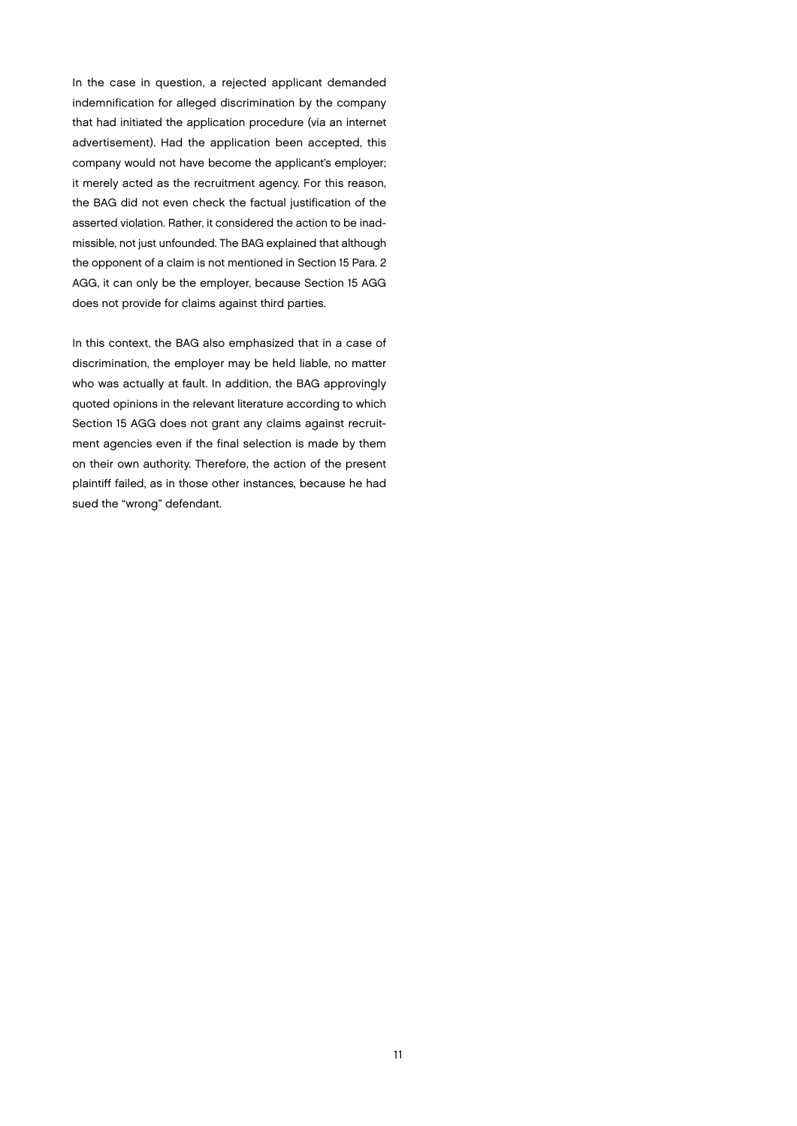In the case in question, a rejected applicant demanded indemnification for alleged discrimination by the company that had initiated the application procedure (via an internet advertisement). Had the application been accepted, this company would not have become the applicant's employer; it merely acted as the recruitment agency. For this reason, the BAG did not even check the factual justification of the asserted violation. Rather, it considered the action to be inadmissible, not just unfounded. The BAG explained that although the opponent of a claim is not mentioned in Section 15 Para. 2 AGG, it can only be the employer, because Section 15 AGG does not provide for claims against third parties.

In this context, the BAG also emphasized that in a case of discrimination, the employer may be held liable, no matter who was actually at fault. In addition, the BAG approvingly quoted opinions in the relevant literature according to which Section 15 AGG does not grant any claims against recruitment agencies even if the final selection is made by them on their own authority. Therefore, the action of the present plaintiff failed, as in those other instances, because he had sued the "wrong" defendant.